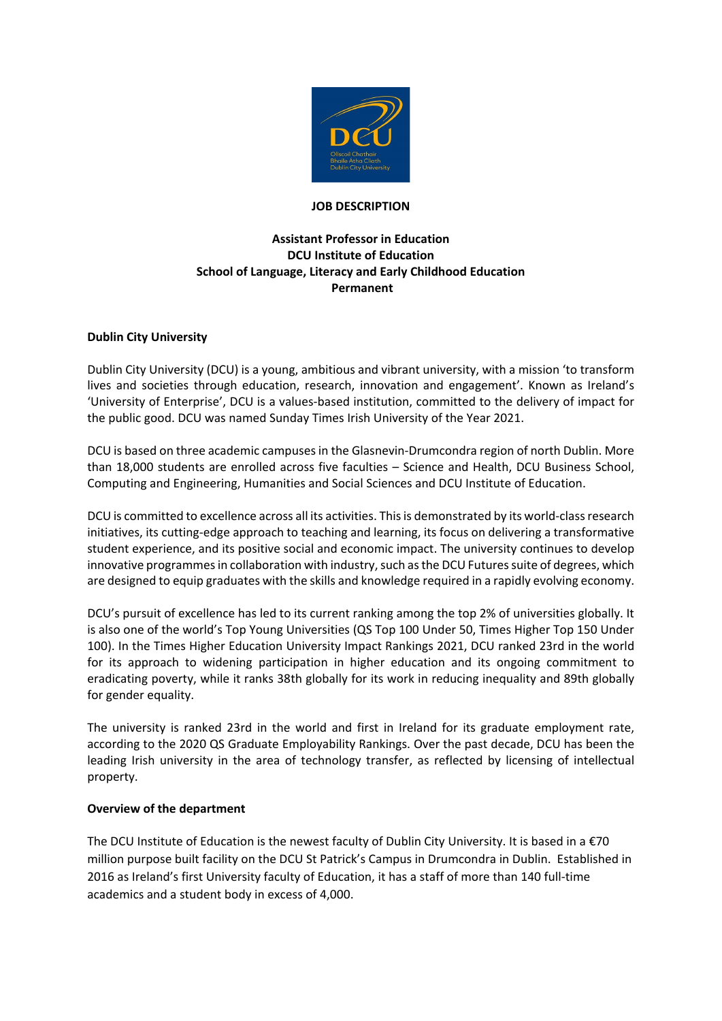

#### **JOB DESCRIPTION**

# **Assistant Professor in Education DCU Institute of Education School of Language, Literacy and Early Childhood Education Permanent**

#### **Dublin City University**

Dublin City University (DCU) is a young, ambitious and vibrant university, with a mission 'to transform lives and societies through education, research, innovation and engagement'. Known as Ireland's 'University of Enterprise', DCU is a values-based institution, committed to the delivery of impact for the public good. DCU was named Sunday Times Irish University of the Year 2021.

DCU is based on three academic campuses in the Glasnevin-Drumcondra region of north Dublin. More than 18,000 students are enrolled across five faculties – Science and Health, DCU Business School, Computing and Engineering, Humanities and Social Sciences and DCU Institute of Education.

DCU is committed to excellence across all its activities. This is demonstrated by its world-class research initiatives, its cutting-edge approach to teaching and learning, its focus on delivering a transformative student experience, and its positive social and economic impact. The university continues to develop innovative programmes in collaboration with industry, such as the DCU Futures suite of degrees, which are designed to equip graduates with the skills and knowledge required in a rapidly evolving economy.

DCU's pursuit of excellence has led to its current ranking among the top 2% of universities globally. It is also one of the world's Top Young Universities (QS Top 100 Under 50, Times Higher Top 150 Under 100). In the Times Higher Education University Impact Rankings 2021, DCU ranked 23rd in the world for its approach to widening participation in higher education and its ongoing commitment to eradicating poverty, while it ranks 38th globally for its work in reducing inequality and 89th globally for gender equality.

The university is ranked 23rd in the world and first in Ireland for its graduate employment rate, according to the 2020 QS Graduate Employability Rankings. Over the past decade, DCU has been the leading Irish university in the area of technology transfer, as reflected by licensing of intellectual property.

#### **Overview of the department**

The DCU Institute of Education is the newest faculty of Dublin City University. It is based in a €70 million purpose built facility on the DCU St Patrick's Campus in Drumcondra in Dublin. Established in 2016 as Ireland's first University faculty of Education, it has a staff of more than 140 full-time academics and a student body in excess of 4,000.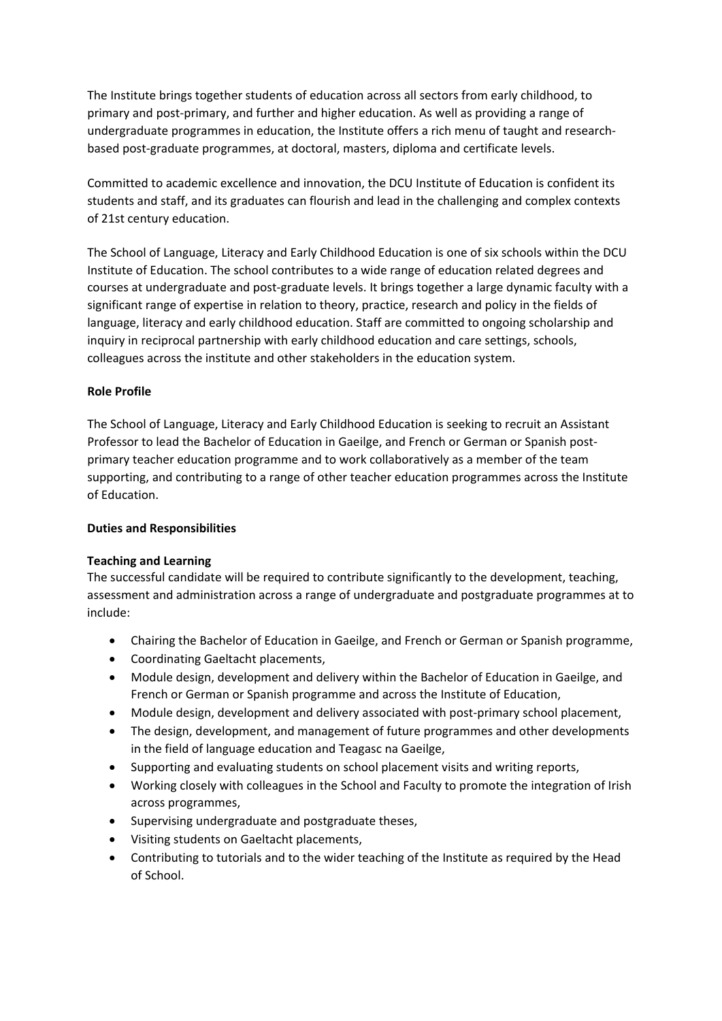The Institute brings together students of education across all sectors from early childhood, to primary and post-primary, and further and higher education. As well as providing a range of undergraduate programmes in education, the Institute offers a rich menu of taught and researchbased post-graduate programmes, at doctoral, masters, diploma and certificate levels.

Committed to academic excellence and innovation, the DCU Institute of Education is confident its students and staff, and its graduates can flourish and lead in the challenging and complex contexts of 21st century education.

The School of Language, Literacy and Early Childhood Education is one of six schools within the DCU Institute of Education. The school contributes to a wide range of education related degrees and courses at undergraduate and post-graduate levels. It brings together a large dynamic faculty with a significant range of expertise in relation to theory, practice, research and policy in the fields of language, literacy and early childhood education. Staff are committed to ongoing scholarship and inquiry in reciprocal partnership with early childhood education and care settings, schools, colleagues across the institute and other stakeholders in the education system.

## **Role Profile**

The School of Language, Literacy and Early Childhood Education is seeking to recruit an Assistant Professor to lead the Bachelor of Education in Gaeilge, and French or German or Spanish postprimary teacher education programme and to work collaboratively as a member of the team supporting, and contributing to a range of other teacher education programmes across the Institute of Education.

#### **Duties and Responsibilities**

#### **Teaching and Learning**

The successful candidate will be required to contribute significantly to the development, teaching, assessment and administration across a range of undergraduate and postgraduate programmes at to include:

- Chairing the Bachelor of Education in Gaeilge, and French or German or Spanish programme,
- Coordinating Gaeltacht placements,
- Module design, development and delivery within the Bachelor of Education in Gaeilge, and French or German or Spanish programme and across the Institute of Education,
- Module design, development and delivery associated with post-primary school placement,
- The design, development, and management of future programmes and other developments in the field of language education and Teagasc na Gaeilge,
- Supporting and evaluating students on school placement visits and writing reports,
- Working closely with colleagues in the School and Faculty to promote the integration of Irish across programmes,
- Supervising undergraduate and postgraduate theses,
- Visiting students on Gaeltacht placements,
- Contributing to tutorials and to the wider teaching of the Institute as required by the Head of School.